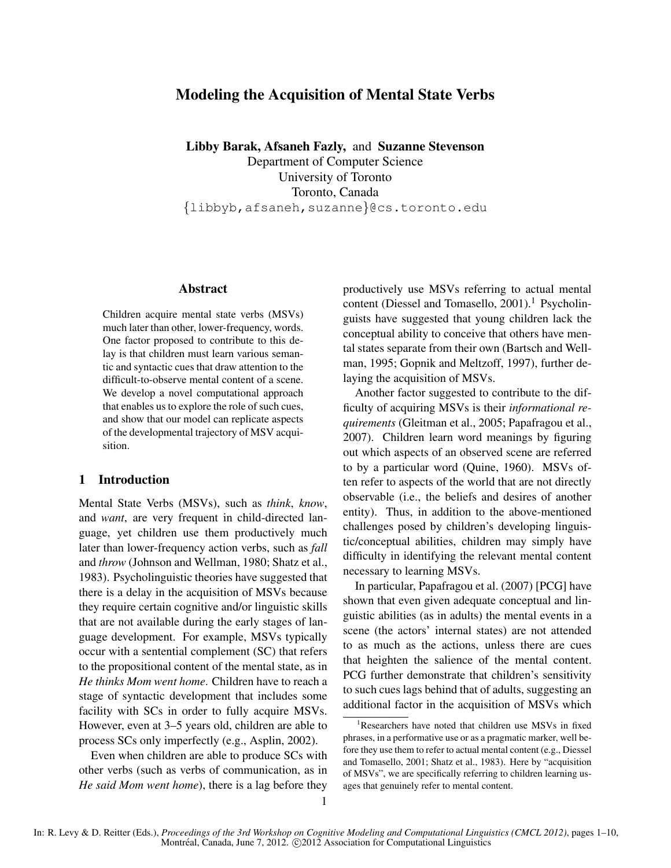# Modeling the Acquisition of Mental State Verbs

Libby Barak, Afsaneh Fazly, and Suzanne Stevenson Department of Computer Science University of Toronto Toronto, Canada {libbyb,afsaneh,suzanne}@cs.toronto.edu

# Abstract

Children acquire mental state verbs (MSVs) much later than other, lower-frequency, words. One factor proposed to contribute to this delay is that children must learn various semantic and syntactic cues that draw attention to the difficult-to-observe mental content of a scene. We develop a novel computational approach that enables us to explore the role of such cues, and show that our model can replicate aspects of the developmental trajectory of MSV acquisition.

#### 1 Introduction

Mental State Verbs (MSVs), such as *think*, *know*, and *want*, are very frequent in child-directed language, yet children use them productively much later than lower-frequency action verbs, such as *fall* and *throw* (Johnson and Wellman, 1980; Shatz et al., 1983). Psycholinguistic theories have suggested that there is a delay in the acquisition of MSVs because they require certain cognitive and/or linguistic skills that are not available during the early stages of language development. For example, MSVs typically occur with a sentential complement (SC) that refers to the propositional content of the mental state, as in *He thinks Mom went home*. Children have to reach a stage of syntactic development that includes some facility with SCs in order to fully acquire MSVs. However, even at 3–5 years old, children are able to process SCs only imperfectly (e.g., Asplin, 2002).

Even when children are able to produce SCs with other verbs (such as verbs of communication, as in *He said Mom went home*), there is a lag before they productively use MSVs referring to actual mental content (Diessel and Tomasello,  $2001$ ).<sup>1</sup> Psycholinguists have suggested that young children lack the conceptual ability to conceive that others have mental states separate from their own (Bartsch and Wellman, 1995; Gopnik and Meltzoff, 1997), further delaying the acquisition of MSVs.

Another factor suggested to contribute to the difficulty of acquiring MSVs is their *informational requirements* (Gleitman et al., 2005; Papafragou et al., 2007). Children learn word meanings by figuring out which aspects of an observed scene are referred to by a particular word (Quine, 1960). MSVs often refer to aspects of the world that are not directly observable (i.e., the beliefs and desires of another entity). Thus, in addition to the above-mentioned challenges posed by children's developing linguistic/conceptual abilities, children may simply have difficulty in identifying the relevant mental content necessary to learning MSVs.

In particular, Papafragou et al. (2007) [PCG] have shown that even given adequate conceptual and linguistic abilities (as in adults) the mental events in a scene (the actors' internal states) are not attended to as much as the actions, unless there are cues that heighten the salience of the mental content. PCG further demonstrate that children's sensitivity to such cues lags behind that of adults, suggesting an additional factor in the acquisition of MSVs which

<sup>&</sup>lt;sup>1</sup>Researchers have noted that children use MSVs in fixed phrases, in a performative use or as a pragmatic marker, well before they use them to refer to actual mental content (e.g., Diessel and Tomasello, 2001; Shatz et al., 1983). Here by "acquisition of MSVs", we are specifically referring to children learning usages that genuinely refer to mental content.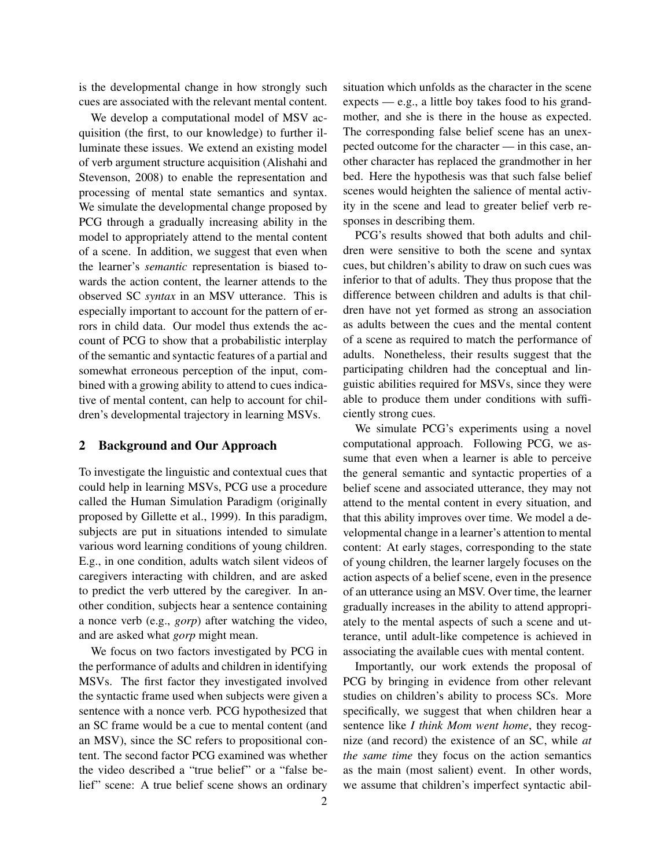is the developmental change in how strongly such cues are associated with the relevant mental content.

We develop a computational model of MSV acquisition (the first, to our knowledge) to further illuminate these issues. We extend an existing model of verb argument structure acquisition (Alishahi and Stevenson, 2008) to enable the representation and processing of mental state semantics and syntax. We simulate the developmental change proposed by PCG through a gradually increasing ability in the model to appropriately attend to the mental content of a scene. In addition, we suggest that even when the learner's *semantic* representation is biased towards the action content, the learner attends to the observed SC *syntax* in an MSV utterance. This is especially important to account for the pattern of errors in child data. Our model thus extends the account of PCG to show that a probabilistic interplay of the semantic and syntactic features of a partial and somewhat erroneous perception of the input, combined with a growing ability to attend to cues indicative of mental content, can help to account for children's developmental trajectory in learning MSVs.

# 2 Background and Our Approach

To investigate the linguistic and contextual cues that could help in learning MSVs, PCG use a procedure called the Human Simulation Paradigm (originally proposed by Gillette et al., 1999). In this paradigm, subjects are put in situations intended to simulate various word learning conditions of young children. E.g., in one condition, adults watch silent videos of caregivers interacting with children, and are asked to predict the verb uttered by the caregiver. In another condition, subjects hear a sentence containing a nonce verb (e.g., *gorp*) after watching the video, and are asked what *gorp* might mean.

We focus on two factors investigated by PCG in the performance of adults and children in identifying MSVs. The first factor they investigated involved the syntactic frame used when subjects were given a sentence with a nonce verb. PCG hypothesized that an SC frame would be a cue to mental content (and an MSV), since the SC refers to propositional content. The second factor PCG examined was whether the video described a "true belief" or a "false belief" scene: A true belief scene shows an ordinary

situation which unfolds as the character in the scene expects — e.g., a little boy takes food to his grandmother, and she is there in the house as expected. The corresponding false belief scene has an unexpected outcome for the character — in this case, another character has replaced the grandmother in her bed. Here the hypothesis was that such false belief scenes would heighten the salience of mental activity in the scene and lead to greater belief verb responses in describing them.

PCG's results showed that both adults and children were sensitive to both the scene and syntax cues, but children's ability to draw on such cues was inferior to that of adults. They thus propose that the difference between children and adults is that children have not yet formed as strong an association as adults between the cues and the mental content of a scene as required to match the performance of adults. Nonetheless, their results suggest that the participating children had the conceptual and linguistic abilities required for MSVs, since they were able to produce them under conditions with sufficiently strong cues.

We simulate PCG's experiments using a novel computational approach. Following PCG, we assume that even when a learner is able to perceive the general semantic and syntactic properties of a belief scene and associated utterance, they may not attend to the mental content in every situation, and that this ability improves over time. We model a developmental change in a learner's attention to mental content: At early stages, corresponding to the state of young children, the learner largely focuses on the action aspects of a belief scene, even in the presence of an utterance using an MSV. Over time, the learner gradually increases in the ability to attend appropriately to the mental aspects of such a scene and utterance, until adult-like competence is achieved in associating the available cues with mental content.

Importantly, our work extends the proposal of PCG by bringing in evidence from other relevant studies on children's ability to process SCs. More specifically, we suggest that when children hear a sentence like *I think Mom went home*, they recognize (and record) the existence of an SC, while *at the same time* they focus on the action semantics as the main (most salient) event. In other words, we assume that children's imperfect syntactic abil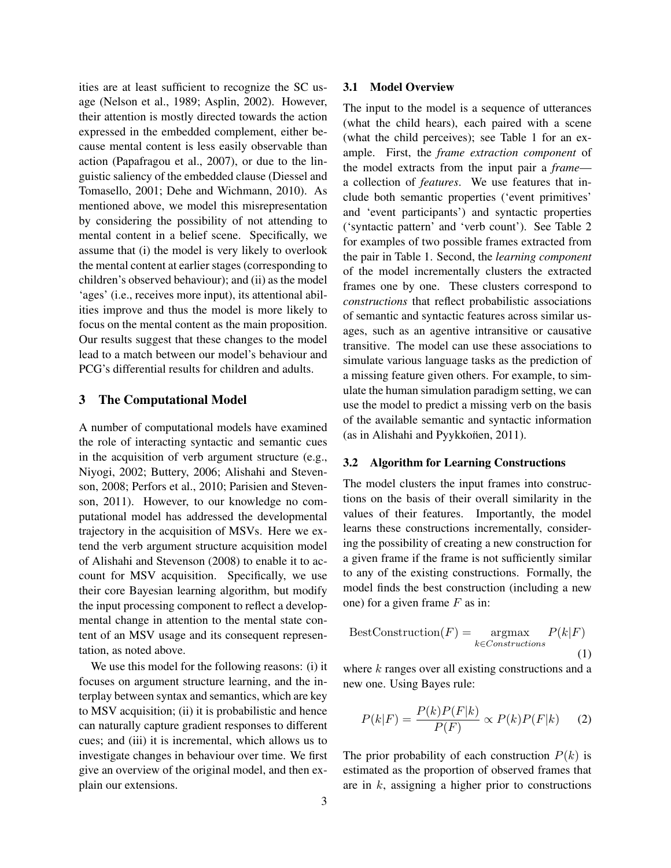ities are at least sufficient to recognize the SC usage (Nelson et al., 1989; Asplin, 2002). However, their attention is mostly directed towards the action expressed in the embedded complement, either because mental content is less easily observable than action (Papafragou et al., 2007), or due to the linguistic saliency of the embedded clause (Diessel and Tomasello, 2001; Dehe and Wichmann, 2010). As mentioned above, we model this misrepresentation by considering the possibility of not attending to mental content in a belief scene. Specifically, we assume that (i) the model is very likely to overlook the mental content at earlier stages (corresponding to children's observed behaviour); and (ii) as the model 'ages' (i.e., receives more input), its attentional abilities improve and thus the model is more likely to focus on the mental content as the main proposition. Our results suggest that these changes to the model lead to a match between our model's behaviour and PCG's differential results for children and adults.

#### 3 The Computational Model

A number of computational models have examined the role of interacting syntactic and semantic cues in the acquisition of verb argument structure (e.g., Niyogi, 2002; Buttery, 2006; Alishahi and Stevenson, 2008; Perfors et al., 2010; Parisien and Stevenson, 2011). However, to our knowledge no computational model has addressed the developmental trajectory in the acquisition of MSVs. Here we extend the verb argument structure acquisition model of Alishahi and Stevenson (2008) to enable it to account for MSV acquisition. Specifically, we use their core Bayesian learning algorithm, but modify the input processing component to reflect a developmental change in attention to the mental state content of an MSV usage and its consequent representation, as noted above.

We use this model for the following reasons: (i) it focuses on argument structure learning, and the interplay between syntax and semantics, which are key to MSV acquisition; (ii) it is probabilistic and hence can naturally capture gradient responses to different cues; and (iii) it is incremental, which allows us to investigate changes in behaviour over time. We first give an overview of the original model, and then explain our extensions.

#### 3.1 Model Overview

The input to the model is a sequence of utterances (what the child hears), each paired with a scene (what the child perceives); see Table 1 for an example. First, the *frame extraction component* of the model extracts from the input pair a *frame* a collection of *features*. We use features that include both semantic properties ('event primitives' and 'event participants') and syntactic properties ('syntactic pattern' and 'verb count'). See Table 2 for examples of two possible frames extracted from the pair in Table 1. Second, the *learning component* of the model incrementally clusters the extracted frames one by one. These clusters correspond to *constructions* that reflect probabilistic associations of semantic and syntactic features across similar usages, such as an agentive intransitive or causative transitive. The model can use these associations to simulate various language tasks as the prediction of a missing feature given others. For example, to simulate the human simulation paradigm setting, we can use the model to predict a missing verb on the basis of the available semantic and syntactic information (as in Alishahi and Pyykkonen, 2011).

#### 3.2 Algorithm for Learning Constructions

The model clusters the input frames into constructions on the basis of their overall similarity in the values of their features. Importantly, the model learns these constructions incrementally, considering the possibility of creating a new construction for a given frame if the frame is not sufficiently similar to any of the existing constructions. Formally, the model finds the best construction (including a new one) for a given frame  $F$  as in:

$$
BestConstruction(F) = \underset{k \in Constructions}{\operatorname{argmax}} P(k|F)
$$
\n(1)

where  $k$  ranges over all existing constructions and a new one. Using Bayes rule:

$$
P(k|F) = \frac{P(k)P(F|k)}{P(F)} \propto P(k)P(F|k) \quad (2)
$$

The prior probability of each construction  $P(k)$  is estimated as the proportion of observed frames that are in  $k$ , assigning a higher prior to constructions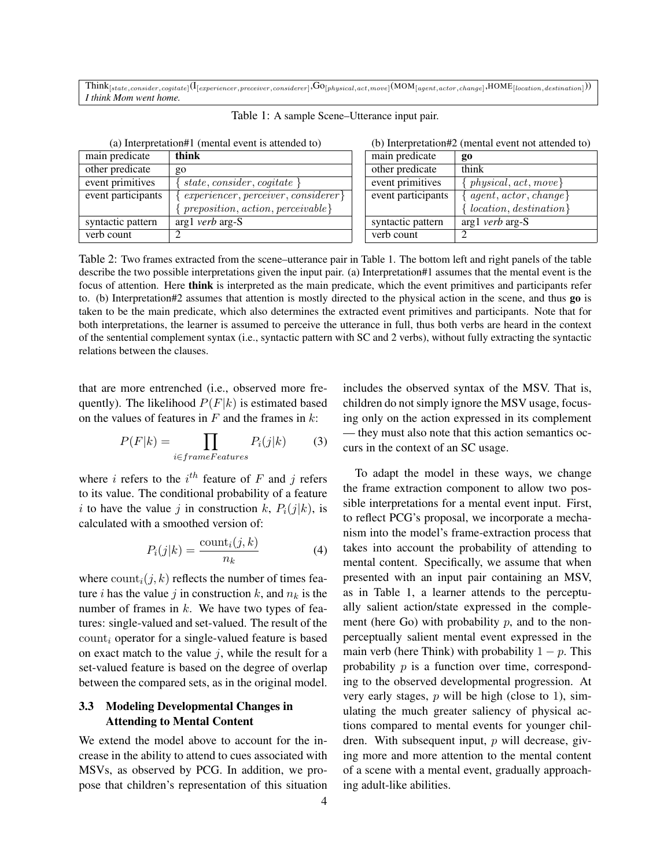$\mathrm{Think}_{[state, consider, cognitive]}(\mathrm{I}_{[experiment,considerer],Considering}, \mathrm{GO}_{[physical,act,move]}(\mathrm{MOM}_{[agent,actor,change]}, \mathrm{HOME}_{[location,destination]}))$ *I think Mom went home.*

| $\alpha$ ) interpretation r (intental event is attended to) |                                         |                    | $\sigma$ ) microfediums (mental cyclic not attentic |  |
|-------------------------------------------------------------|-----------------------------------------|--------------------|-----------------------------------------------------|--|
| main predicate                                              | think                                   | main predicate     | g0                                                  |  |
| other predicate                                             | go                                      | other predicate    | think                                               |  |
| event primitives                                            | state, consider, cogitate $\}$          | event primitives   | $\{physical, act, move\}$                           |  |
| event participants                                          | $experiencer, perceiver, considerer\}$  | event participants | [agent, actor, change]                              |  |
|                                                             | $preposition, action, perceive a label$ |                    | $location, destination\}$                           |  |
| syntactic pattern                                           | $arg1$ <i>verb</i> $arg-S$              | syntactic pattern  | $arg1$ <i>verb</i> $arg-S$                          |  |
| verb count                                                  |                                         | verb count         |                                                     |  |

Table 1: A sample Scene–Utterance input pair.

(a) Interpretation#1 (mental event is attended to) (b) Interpretation#2 (mental event not attended to)

| think                                      | main predicate     | g0                        |
|--------------------------------------------|--------------------|---------------------------|
| go                                         | other predicate    | think                     |
| state, consider, cogitate $\}$             | event primitives   | $physical, act, move\}$   |
| $experiencer, perceiver, considerer\}$     | event participants | $agent, actor, change\}$  |
| $\{$ preposition, action, perceivable $\}$ |                    | $localion, destination\}$ |
| arg1 <i>verb</i> arg-S                     | syntactic pattern  | $arg1$ verb $arg-S$       |
|                                            | verb count         |                           |

Table 2: Two frames extracted from the scene–utterance pair in Table 1. The bottom left and right panels of the table describe the two possible interpretations given the input pair. (a) Interpretation#1 assumes that the mental event is the focus of attention. Here think is interpreted as the main predicate, which the event primitives and participants refer to. (b) Interpretation#2 assumes that attention is mostly directed to the physical action in the scene, and thus go is taken to be the main predicate, which also determines the extracted event primitives and participants. Note that for both interpretations, the learner is assumed to perceive the utterance in full, thus both verbs are heard in the context of the sentential complement syntax (i.e., syntactic pattern with SC and 2 verbs), without fully extracting the syntactic relations between the clauses.

that are more entrenched (i.e., observed more frequently). The likelihood  $P(F|k)$  is estimated based on the values of features in  $F$  and the frames in  $k$ :

$$
P(F|k) = \prod_{i \in frameFeatures} P_i(j|k) \tag{3}
$$

where *i* refers to the  $i^{th}$  feature of F and j refers to its value. The conditional probability of a feature i to have the value j in construction k,  $P_i(j|k)$ , is calculated with a smoothed version of:

$$
P_i(j|k) = \frac{\text{count}_i(j,k)}{n_k} \tag{4}
$$

where  $\text{count}_i(j, k)$  reflects the number of times feature i has the value j in construction k, and  $n_k$  is the number of frames in  $k$ . We have two types of features: single-valued and set-valued. The result of the  $\text{count}_i$  operator for a single-valued feature is based on exact match to the value  $i$ , while the result for a set-valued feature is based on the degree of overlap between the compared sets, as in the original model.

# 3.3 Modeling Developmental Changes in Attending to Mental Content

We extend the model above to account for the increase in the ability to attend to cues associated with MSVs, as observed by PCG. In addition, we propose that children's representation of this situation includes the observed syntax of the MSV. That is, children do not simply ignore the MSV usage, focusing only on the action expressed in its complement — they must also note that this action semantics occurs in the context of an SC usage.

To adapt the model in these ways, we change the frame extraction component to allow two possible interpretations for a mental event input. First, to reflect PCG's proposal, we incorporate a mechanism into the model's frame-extraction process that takes into account the probability of attending to mental content. Specifically, we assume that when presented with an input pair containing an MSV, as in Table 1, a learner attends to the perceptually salient action/state expressed in the complement (here Go) with probability  $p$ , and to the nonperceptually salient mental event expressed in the main verb (here Think) with probability  $1 - p$ . This probability  $p$  is a function over time, corresponding to the observed developmental progression. At very early stages,  $p$  will be high (close to 1), simulating the much greater saliency of physical actions compared to mental events for younger children. With subsequent input,  $p$  will decrease, giving more and more attention to the mental content of a scene with a mental event, gradually approaching adult-like abilities.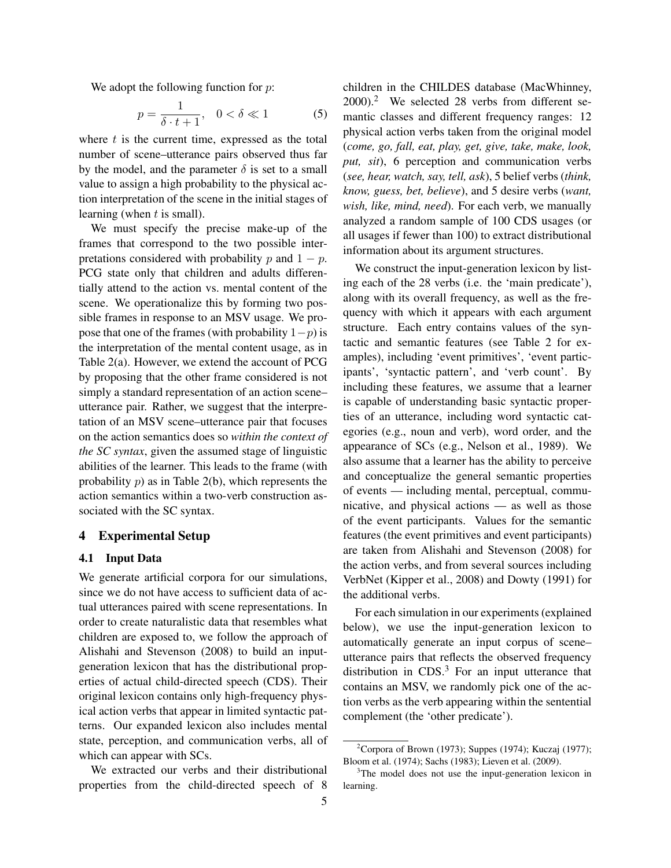We adopt the following function for  $p$ :

$$
p = \frac{1}{\delta \cdot t + 1}, \quad 0 < \delta \ll 1 \tag{5}
$$

where  $t$  is the current time, expressed as the total number of scene–utterance pairs observed thus far by the model, and the parameter  $\delta$  is set to a small value to assign a high probability to the physical action interpretation of the scene in the initial stages of learning (when  $t$  is small).

We must specify the precise make-up of the frames that correspond to the two possible interpretations considered with probability p and  $1 - p$ . PCG state only that children and adults differentially attend to the action vs. mental content of the scene. We operationalize this by forming two possible frames in response to an MSV usage. We propose that one of the frames (with probability  $1-p$ ) is the interpretation of the mental content usage, as in Table 2(a). However, we extend the account of PCG by proposing that the other frame considered is not simply a standard representation of an action scene– utterance pair. Rather, we suggest that the interpretation of an MSV scene–utterance pair that focuses on the action semantics does so *within the context of the SC syntax*, given the assumed stage of linguistic abilities of the learner. This leads to the frame (with probability  $p$ ) as in Table 2(b), which represents the action semantics within a two-verb construction associated with the SC syntax.

#### 4 Experimental Setup

#### 4.1 Input Data

We generate artificial corpora for our simulations, since we do not have access to sufficient data of actual utterances paired with scene representations. In order to create naturalistic data that resembles what children are exposed to, we follow the approach of Alishahi and Stevenson (2008) to build an inputgeneration lexicon that has the distributional properties of actual child-directed speech (CDS). Their original lexicon contains only high-frequency physical action verbs that appear in limited syntactic patterns. Our expanded lexicon also includes mental state, perception, and communication verbs, all of which can appear with SCs.

We extracted our verbs and their distributional properties from the child-directed speech of 8 children in the CHILDES database (MacWhinney, 2000).<sup>2</sup> We selected 28 verbs from different semantic classes and different frequency ranges: 12 physical action verbs taken from the original model (*come, go, fall, eat, play, get, give, take, make, look, put, sit*), 6 perception and communication verbs (*see, hear, watch, say, tell, ask*), 5 belief verbs (*think, know, guess, bet, believe*), and 5 desire verbs (*want, wish, like, mind, need*). For each verb, we manually analyzed a random sample of 100 CDS usages (or all usages if fewer than 100) to extract distributional information about its argument structures.

We construct the input-generation lexicon by listing each of the 28 verbs (i.e. the 'main predicate'), along with its overall frequency, as well as the frequency with which it appears with each argument structure. Each entry contains values of the syntactic and semantic features (see Table 2 for examples), including 'event primitives', 'event participants', 'syntactic pattern', and 'verb count'. By including these features, we assume that a learner is capable of understanding basic syntactic properties of an utterance, including word syntactic categories (e.g., noun and verb), word order, and the appearance of SCs (e.g., Nelson et al., 1989). We also assume that a learner has the ability to perceive and conceptualize the general semantic properties of events — including mental, perceptual, communicative, and physical actions — as well as those of the event participants. Values for the semantic features (the event primitives and event participants) are taken from Alishahi and Stevenson (2008) for the action verbs, and from several sources including VerbNet (Kipper et al., 2008) and Dowty (1991) for the additional verbs.

For each simulation in our experiments (explained below), we use the input-generation lexicon to automatically generate an input corpus of scene– utterance pairs that reflects the observed frequency distribution in CDS.<sup>3</sup> For an input utterance that contains an MSV, we randomly pick one of the action verbs as the verb appearing within the sentential complement (the 'other predicate').

<sup>&</sup>lt;sup>2</sup>Corpora of Brown (1973); Suppes (1974); Kuczaj (1977); Bloom et al. (1974); Sachs (1983); Lieven et al. (2009).

 $3$ The model does not use the input-generation lexicon in learning.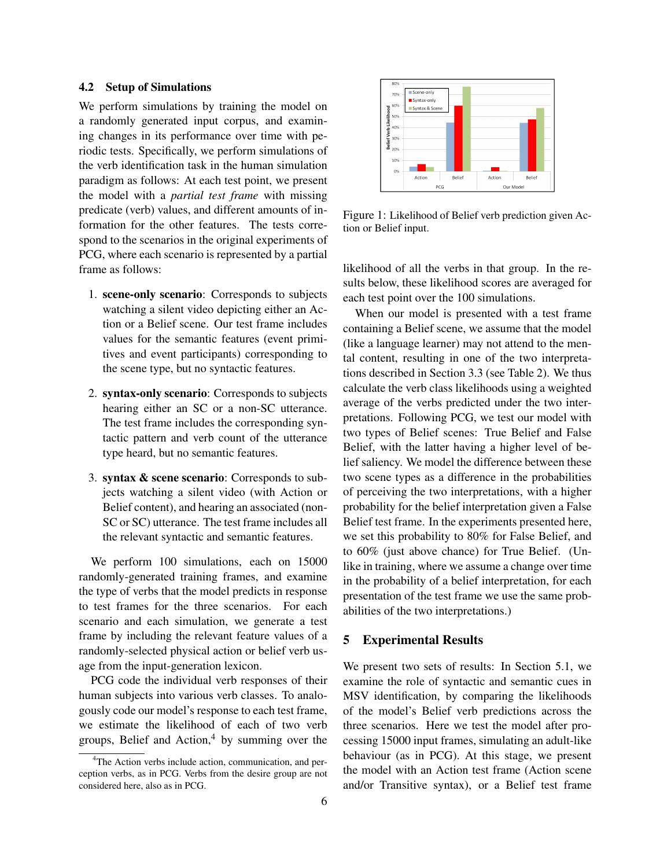#### 4.2 Setup of Simulations

We perform simulations by training the model on a randomly generated input corpus, and examining changes in its performance over time with periodic tests. Specifically, we perform simulations of the verb identification task in the human simulation paradigm as follows: At each test point, we present the model with a *partial test frame* with missing predicate (verb) values, and different amounts of information for the other features. The tests correspond to the scenarios in the original experiments of PCG, where each scenario is represented by a partial frame as follows:

- 1. scene-only scenario: Corresponds to subjects watching a silent video depicting either an Action or a Belief scene. Our test frame includes values for the semantic features (event primitives and event participants) corresponding to the scene type, but no syntactic features.
- 2. syntax-only scenario: Corresponds to subjects hearing either an SC or a non-SC utterance. The test frame includes the corresponding syntactic pattern and verb count of the utterance type heard, but no semantic features.
- 3. syntax & scene scenario: Corresponds to subjects watching a silent video (with Action or Belief content), and hearing an associated (non-SC or SC) utterance. The test frame includes all the relevant syntactic and semantic features.

We perform 100 simulations, each on 15000 randomly-generated training frames, and examine the type of verbs that the model predicts in response to test frames for the three scenarios. For each scenario and each simulation, we generate a test frame by including the relevant feature values of a randomly-selected physical action or belief verb usage from the input-generation lexicon.

PCG code the individual verb responses of their human subjects into various verb classes. To analogously code our model's response to each test frame, we estimate the likelihood of each of two verb groups, Belief and Action, $4$  by summing over the



Figure 1: Likelihood of Belief verb prediction given Action or Belief input.

likelihood of all the verbs in that group. In the results below, these likelihood scores are averaged for each test point over the 100 simulations.

When our model is presented with a test frame containing a Belief scene, we assume that the model (like a language learner) may not attend to the mental content, resulting in one of the two interpretations described in Section 3.3 (see Table 2). We thus calculate the verb class likelihoods using a weighted average of the verbs predicted under the two interpretations. Following PCG, we test our model with two types of Belief scenes: True Belief and False Belief, with the latter having a higher level of belief saliency. We model the difference between these two scene types as a difference in the probabilities of perceiving the two interpretations, with a higher probability for the belief interpretation given a False Belief test frame. In the experiments presented here, we set this probability to 80% for False Belief, and to 60% (just above chance) for True Belief. (Unlike in training, where we assume a change over time in the probability of a belief interpretation, for each presentation of the test frame we use the same probabilities of the two interpretations.)

#### 5 Experimental Results

We present two sets of results: In Section 5.1, we examine the role of syntactic and semantic cues in MSV identification, by comparing the likelihoods of the model's Belief verb predictions across the three scenarios. Here we test the model after processing 15000 input frames, simulating an adult-like behaviour (as in PCG). At this stage, we present the model with an Action test frame (Action scene and/or Transitive syntax), or a Belief test frame

<sup>&</sup>lt;sup>4</sup>The Action verbs include action, communication, and perception verbs, as in PCG. Verbs from the desire group are not considered here, also as in PCG.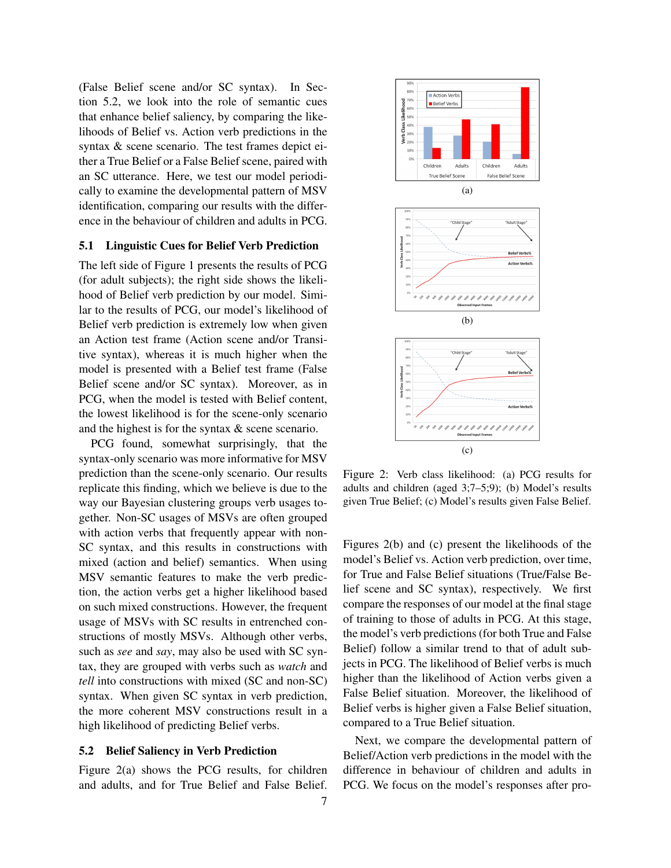(False Belief scene and/or SC syntax). In Section 5.2, we look into the role of semantic cues that enhance belief saliency, by comparing the likelihoods of Belief vs. Action verb predictions in the syntax & scene scenario. The test frames depict either a True Belief or a False Belief scene, paired with an SC utterance. Here, we test our model periodically to examine the developmental pattern of MSV identification, comparing our results with the difference in the behaviour of children and adults in PCG.

#### 5.1 Linguistic Cues for Belief Verb Prediction

The left side of Figure 1 presents the results of PCG (for adult subjects); the right side shows the likelihood of Belief verb prediction by our model. Similar to the results of PCG, our model's likelihood of Belief verb prediction is extremely low when given an Action test frame (Action scene and/or Transitive syntax), whereas it is much higher when the model is presented with a Belief test frame (False Belief scene and/or SC syntax). Moreover, as in PCG, when the model is tested with Belief content, the lowest likelihood is for the scene-only scenario and the highest is for the syntax & scene scenario.

PCG found, somewhat surprisingly, that the syntax-only scenario was more informative for MSV prediction than the scene-only scenario. Our results replicate this finding, which we believe is due to the way our Bayesian clustering groups verb usages together. Non-SC usages of MSVs are often grouped with action verbs that frequently appear with non-SC syntax, and this results in constructions with mixed (action and belief) semantics. When using MSV semantic features to make the verb prediction, the action verbs get a higher likelihood based on such mixed constructions. However, the frequent usage of MSVs with SC results in entrenched constructions of mostly MSVs. Although other verbs, such as *see* and *say*, may also be used with SC syntax, they are grouped with verbs such as *watch* and *tell* into constructions with mixed (SC and non-SC) syntax. When given SC syntax in verb prediction, the more coherent MSV constructions result in a high likelihood of predicting Belief verbs.

#### 5.2 Belief Saliency in Verb Prediction

Figure 2(a) shows the PCG results, for children and adults, and for True Belief and False Belief.



Figure 2: Verb class likelihood: (a) PCG results for adults and children (aged 3;7–5;9); (b) Model's results given True Belief; (c) Model's results given False Belief.

Figures 2(b) and (c) present the likelihoods of the model's Belief vs. Action verb prediction, over time, for True and False Belief situations (True/False Belief scene and SC syntax), respectively. We first compare the responses of our model at the final stage of training to those of adults in PCG. At this stage, the model's verb predictions (for both True and False Belief) follow a similar trend to that of adult subjects in PCG. The likelihood of Belief verbs is much higher than the likelihood of Action verbs given a False Belief situation. Moreover, the likelihood of Belief verbs is higher given a False Belief situation, compared to a True Belief situation.

Next, we compare the developmental pattern of Belief/Action verb predictions in the model with the difference in behaviour of children and adults in PCG. We focus on the model's responses after pro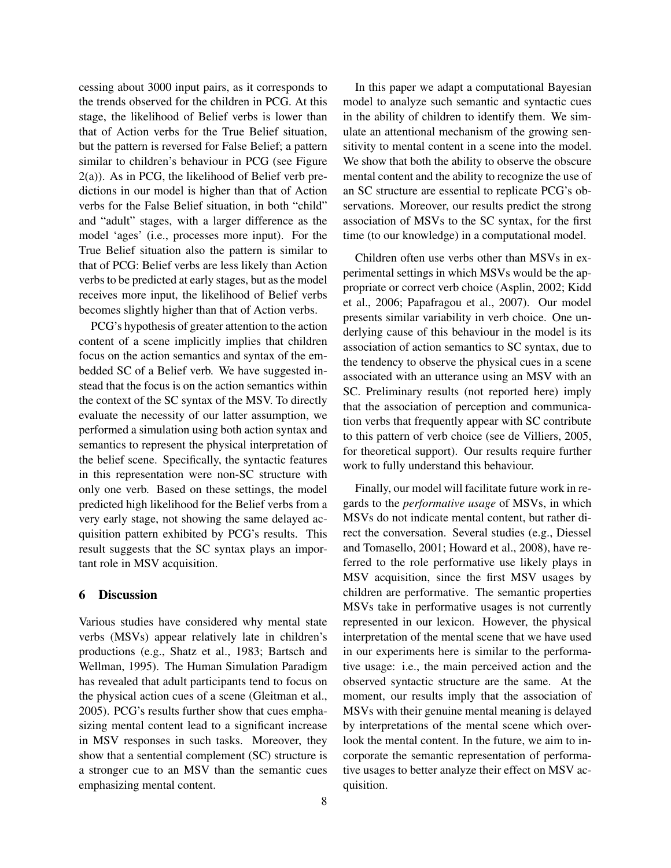cessing about 3000 input pairs, as it corresponds to the trends observed for the children in PCG. At this stage, the likelihood of Belief verbs is lower than that of Action verbs for the True Belief situation, but the pattern is reversed for False Belief; a pattern similar to children's behaviour in PCG (see Figure 2(a)). As in PCG, the likelihood of Belief verb predictions in our model is higher than that of Action verbs for the False Belief situation, in both "child" and "adult" stages, with a larger difference as the model 'ages' (i.e., processes more input). For the True Belief situation also the pattern is similar to that of PCG: Belief verbs are less likely than Action verbs to be predicted at early stages, but as the model receives more input, the likelihood of Belief verbs becomes slightly higher than that of Action verbs.

PCG's hypothesis of greater attention to the action content of a scene implicitly implies that children focus on the action semantics and syntax of the embedded SC of a Belief verb. We have suggested instead that the focus is on the action semantics within the context of the SC syntax of the MSV. To directly evaluate the necessity of our latter assumption, we performed a simulation using both action syntax and semantics to represent the physical interpretation of the belief scene. Specifically, the syntactic features in this representation were non-SC structure with only one verb. Based on these settings, the model predicted high likelihood for the Belief verbs from a very early stage, not showing the same delayed acquisition pattern exhibited by PCG's results. This result suggests that the SC syntax plays an important role in MSV acquisition.

#### 6 Discussion

Various studies have considered why mental state verbs (MSVs) appear relatively late in children's productions (e.g., Shatz et al., 1983; Bartsch and Wellman, 1995). The Human Simulation Paradigm has revealed that adult participants tend to focus on the physical action cues of a scene (Gleitman et al., 2005). PCG's results further show that cues emphasizing mental content lead to a significant increase in MSV responses in such tasks. Moreover, they show that a sentential complement (SC) structure is a stronger cue to an MSV than the semantic cues emphasizing mental content.

In this paper we adapt a computational Bayesian model to analyze such semantic and syntactic cues in the ability of children to identify them. We simulate an attentional mechanism of the growing sensitivity to mental content in a scene into the model. We show that both the ability to observe the obscure mental content and the ability to recognize the use of an SC structure are essential to replicate PCG's observations. Moreover, our results predict the strong association of MSVs to the SC syntax, for the first time (to our knowledge) in a computational model.

Children often use verbs other than MSVs in experimental settings in which MSVs would be the appropriate or correct verb choice (Asplin, 2002; Kidd et al., 2006; Papafragou et al., 2007). Our model presents similar variability in verb choice. One underlying cause of this behaviour in the model is its association of action semantics to SC syntax, due to the tendency to observe the physical cues in a scene associated with an utterance using an MSV with an SC. Preliminary results (not reported here) imply that the association of perception and communication verbs that frequently appear with SC contribute to this pattern of verb choice (see de Villiers, 2005, for theoretical support). Our results require further work to fully understand this behaviour.

Finally, our model will facilitate future work in regards to the *performative usage* of MSVs, in which MSVs do not indicate mental content, but rather direct the conversation. Several studies (e.g., Diessel and Tomasello, 2001; Howard et al., 2008), have referred to the role performative use likely plays in MSV acquisition, since the first MSV usages by children are performative. The semantic properties MSVs take in performative usages is not currently represented in our lexicon. However, the physical interpretation of the mental scene that we have used in our experiments here is similar to the performative usage: i.e., the main perceived action and the observed syntactic structure are the same. At the moment, our results imply that the association of MSVs with their genuine mental meaning is delayed by interpretations of the mental scene which overlook the mental content. In the future, we aim to incorporate the semantic representation of performative usages to better analyze their effect on MSV acquisition.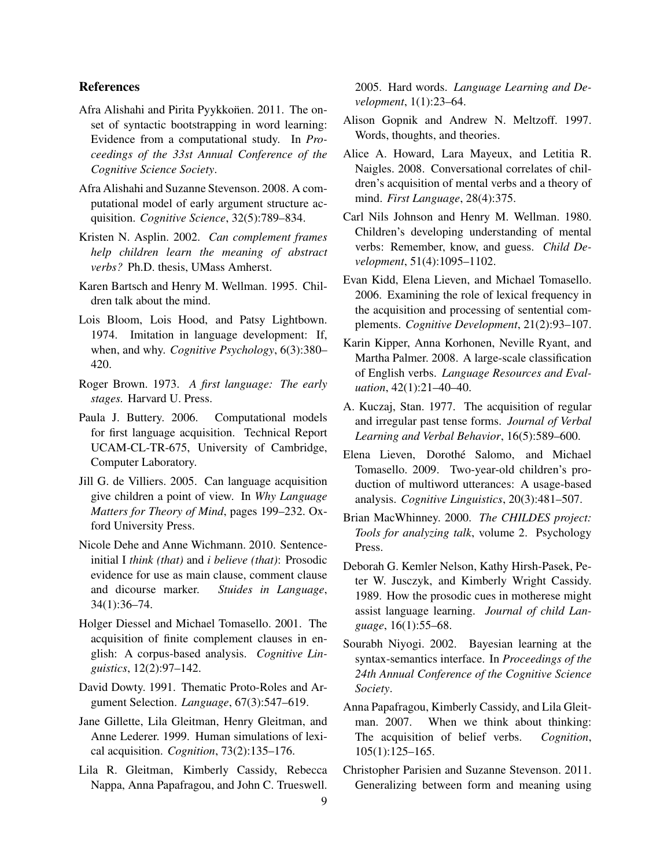# References

- Afra Alishahi and Pirita Pyykkonen. 2011. The onset of syntactic bootstrapping in word learning: Evidence from a computational study. In *Proceedings of the 33st Annual Conference of the Cognitive Science Society*.
- Afra Alishahi and Suzanne Stevenson. 2008. A computational model of early argument structure acquisition. *Cognitive Science*, 32(5):789–834.
- Kristen N. Asplin. 2002. *Can complement frames help children learn the meaning of abstract verbs?* Ph.D. thesis, UMass Amherst.
- Karen Bartsch and Henry M. Wellman. 1995. Children talk about the mind.
- Lois Bloom, Lois Hood, and Patsy Lightbown. 1974. Imitation in language development: If, when, and why. *Cognitive Psychology*, 6(3):380– 420.
- Roger Brown. 1973. *A first language: The early stages.* Harvard U. Press.
- Paula J. Buttery. 2006. Computational models for first language acquisition. Technical Report UCAM-CL-TR-675, University of Cambridge, Computer Laboratory.
- Jill G. de Villiers. 2005. Can language acquisition give children a point of view. In *Why Language Matters for Theory of Mind*, pages 199–232. Oxford University Press.
- Nicole Dehe and Anne Wichmann. 2010. Sentenceinitial I *think (that)* and *i believe (that)*: Prosodic evidence for use as main clause, comment clause and dicourse marker. *Stuides in Language*, 34(1):36–74.
- Holger Diessel and Michael Tomasello. 2001. The acquisition of finite complement clauses in english: A corpus-based analysis. *Cognitive Linguistics*, 12(2):97–142.
- David Dowty. 1991. Thematic Proto-Roles and Argument Selection. *Language*, 67(3):547–619.
- Jane Gillette, Lila Gleitman, Henry Gleitman, and Anne Lederer. 1999. Human simulations of lexical acquisition. *Cognition*, 73(2):135–176.
- Lila R. Gleitman, Kimberly Cassidy, Rebecca Nappa, Anna Papafragou, and John C. Trueswell.

2005. Hard words. *Language Learning and Development*, 1(1):23–64.

- Alison Gopnik and Andrew N. Meltzoff. 1997. Words, thoughts, and theories.
- Alice A. Howard, Lara Mayeux, and Letitia R. Naigles. 2008. Conversational correlates of children's acquisition of mental verbs and a theory of mind. *First Language*, 28(4):375.
- Carl Nils Johnson and Henry M. Wellman. 1980. Children's developing understanding of mental verbs: Remember, know, and guess. *Child Development*, 51(4):1095–1102.
- Evan Kidd, Elena Lieven, and Michael Tomasello. 2006. Examining the role of lexical frequency in the acquisition and processing of sentential complements. *Cognitive Development*, 21(2):93–107.
- Karin Kipper, Anna Korhonen, Neville Ryant, and Martha Palmer. 2008. A large-scale classification of English verbs. *Language Resources and Evaluation*, 42(1):21–40–40.
- A. Kuczaj, Stan. 1977. The acquisition of regular and irregular past tense forms. *Journal of Verbal Learning and Verbal Behavior*, 16(5):589–600.
- Elena Lieven, Dorothe Salomo, and Michael ´ Tomasello. 2009. Two-year-old children's production of multiword utterances: A usage-based analysis. *Cognitive Linguistics*, 20(3):481–507.
- Brian MacWhinney. 2000. *The CHILDES project: Tools for analyzing talk*, volume 2. Psychology Press.
- Deborah G. Kemler Nelson, Kathy Hirsh-Pasek, Peter W. Jusczyk, and Kimberly Wright Cassidy. 1989. How the prosodic cues in motherese might assist language learning. *Journal of child Language*, 16(1):55–68.
- Sourabh Niyogi. 2002. Bayesian learning at the syntax-semantics interface. In *Proceedings of the 24th Annual Conference of the Cognitive Science Society*.
- Anna Papafragou, Kimberly Cassidy, and Lila Gleitman. 2007. When we think about thinking: The acquisition of belief verbs. *Cognition*, 105(1):125–165.
- Christopher Parisien and Suzanne Stevenson. 2011. Generalizing between form and meaning using

9